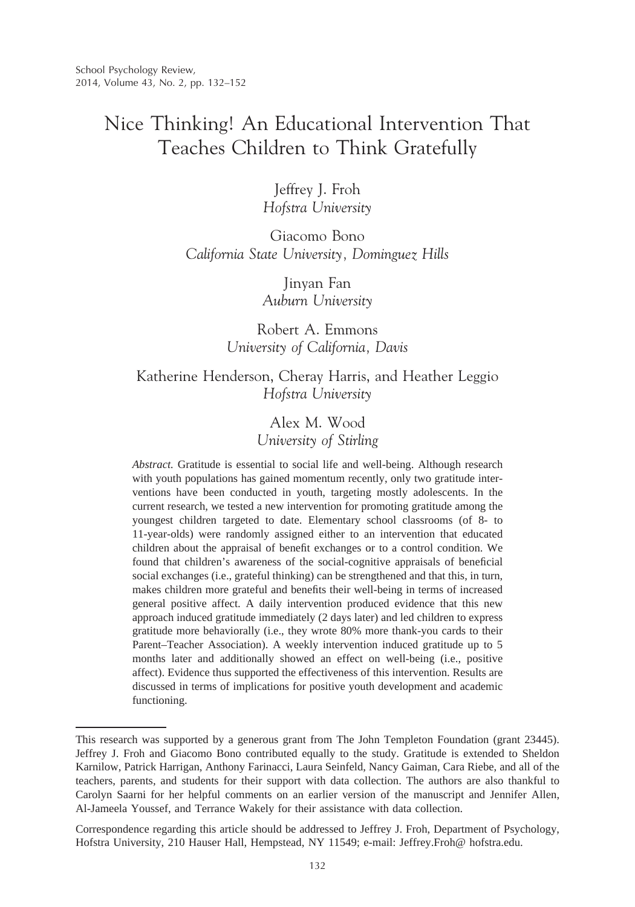# Nice Thinking! An Educational Intervention That Teaches Children to Think Gratefully

Jeffrey J. Froh *Hofstra University*

Giacomo Bono *California State University, Dominguez Hills*

> Jinyan Fan *Auburn University*

Robert A. Emmons *University of California, Davis*

# Katherine Henderson, Cheray Harris, and Heather Leggio *Hofstra University*

Alex M. Wood *University of Stirling*

*Abstract.* Gratitude is essential to social life and well-being. Although research with youth populations has gained momentum recently, only two gratitude interventions have been conducted in youth, targeting mostly adolescents. In the current research, we tested a new intervention for promoting gratitude among the youngest children targeted to date. Elementary school classrooms (of 8- to 11-year-olds) were randomly assigned either to an intervention that educated children about the appraisal of benefit exchanges or to a control condition. We found that children's awareness of the social-cognitive appraisals of beneficial social exchanges (i.e., grateful thinking) can be strengthened and that this, in turn, makes children more grateful and benefits their well-being in terms of increased general positive affect. A daily intervention produced evidence that this new approach induced gratitude immediately (2 days later) and led children to express gratitude more behaviorally (i.e., they wrote 80% more thank-you cards to their Parent–Teacher Association). A weekly intervention induced gratitude up to 5 months later and additionally showed an effect on well-being (i.e., positive affect). Evidence thus supported the effectiveness of this intervention. Results are discussed in terms of implications for positive youth development and academic functioning.

This research was supported by a generous grant from The John Templeton Foundation (grant 23445). Jeffrey J. Froh and Giacomo Bono contributed equally to the study. Gratitude is extended to Sheldon Karnilow, Patrick Harrigan, Anthony Farinacci, Laura Seinfeld, Nancy Gaiman, Cara Riebe, and all of the teachers, parents, and students for their support with data collection. The authors are also thankful to Carolyn Saarni for her helpful comments on an earlier version of the manuscript and Jennifer Allen, Al-Jameela Youssef, and Terrance Wakely for their assistance with data collection.

Correspondence regarding this article should be addressed to Jeffrey J. Froh, Department of Psychology, Hofstra University, 210 Hauser Hall, Hempstead, NY 11549; e-mail: Jeffrey.Froh@ hofstra.edu.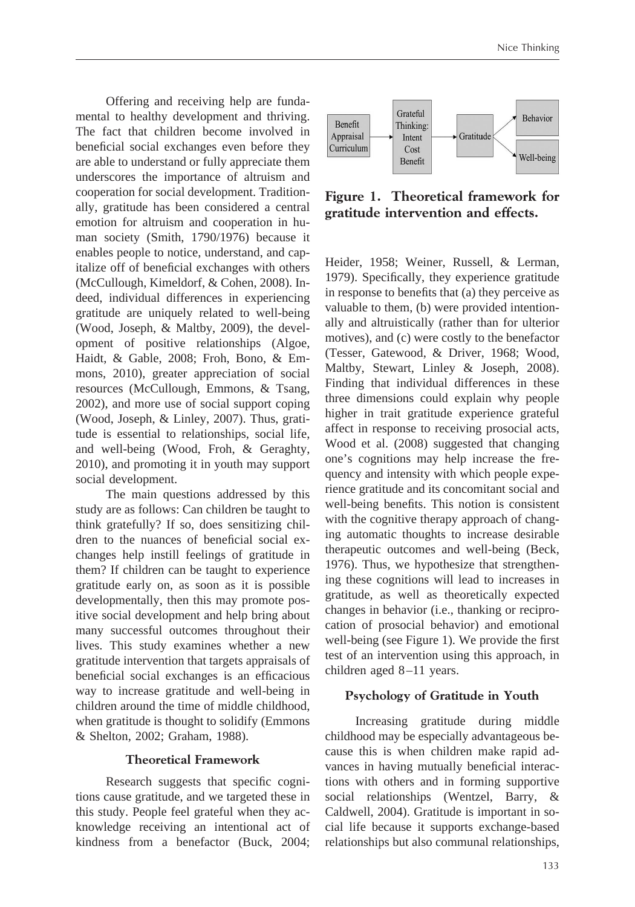Offering and receiving help are fundamental to healthy development and thriving. The fact that children become involved in beneficial social exchanges even before they are able to understand or fully appreciate them underscores the importance of altruism and cooperation for social development. Traditionally, gratitude has been considered a central emotion for altruism and cooperation in human society (Smith, 1790/1976) because it enables people to notice, understand, and capitalize off of beneficial exchanges with others (McCullough, Kimeldorf, & Cohen, 2008). Indeed, individual differences in experiencing gratitude are uniquely related to well-being (Wood, Joseph, & Maltby, 2009), the development of positive relationships (Algoe, Haidt, & Gable, 2008; Froh, Bono, & Emmons, 2010), greater appreciation of social resources (McCullough, Emmons, & Tsang, 2002), and more use of social support coping (Wood, Joseph, & Linley, 2007). Thus, gratitude is essential to relationships, social life, and well-being (Wood, Froh, & Geraghty, 2010), and promoting it in youth may support social development.

The main questions addressed by this study are as follows: Can children be taught to think gratefully? If so, does sensitizing children to the nuances of beneficial social exchanges help instill feelings of gratitude in them? If children can be taught to experience gratitude early on, as soon as it is possible developmentally, then this may promote positive social development and help bring about many successful outcomes throughout their lives. This study examines whether a new gratitude intervention that targets appraisals of beneficial social exchanges is an efficacious way to increase gratitude and well-being in children around the time of middle childhood, when gratitude is thought to solidify (Emmons & Shelton, 2002; Graham, 1988).

# **Theoretical Framework**

Research suggests that specific cognitions cause gratitude, and we targeted these in this study. People feel grateful when they acknowledge receiving an intentional act of kindness from a benefactor (Buck, 2004;



**Figure 1. Theoretical framework for gratitude intervention and effects.**

Heider, 1958; Weiner, Russell, & Lerman, 1979). Specifically, they experience gratitude in response to benefits that (a) they perceive as valuable to them, (b) were provided intentionally and altruistically (rather than for ulterior motives), and (c) were costly to the benefactor (Tesser, Gatewood, & Driver, 1968; Wood, Maltby, Stewart, Linley & Joseph, 2008). Finding that individual differences in these three dimensions could explain why people higher in trait gratitude experience grateful affect in response to receiving prosocial acts, Wood et al. (2008) suggested that changing one's cognitions may help increase the frequency and intensity with which people experience gratitude and its concomitant social and well-being benefits. This notion is consistent with the cognitive therapy approach of changing automatic thoughts to increase desirable therapeutic outcomes and well-being (Beck, 1976). Thus, we hypothesize that strengthening these cognitions will lead to increases in gratitude, as well as theoretically expected changes in behavior (i.e., thanking or reciprocation of prosocial behavior) and emotional well-being (see Figure 1). We provide the first test of an intervention using this approach, in children aged 8-11 years.

# **Psychology of Gratitude in Youth**

Increasing gratitude during middle childhood may be especially advantageous because this is when children make rapid advances in having mutually beneficial interactions with others and in forming supportive social relationships (Wentzel, Barry, & Caldwell, 2004). Gratitude is important in social life because it supports exchange-based relationships but also communal relationships,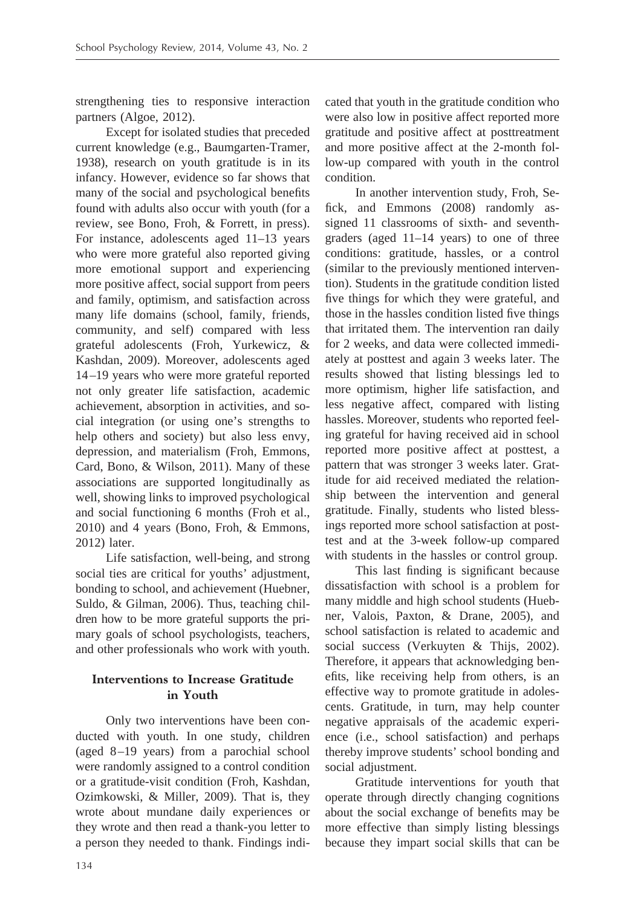strengthening ties to responsive interaction partners (Algoe, 2012).

Except for isolated studies that preceded current knowledge (e.g., Baumgarten-Tramer, 1938), research on youth gratitude is in its infancy. However, evidence so far shows that many of the social and psychological benefits found with adults also occur with youth (for a review, see Bono, Froh, & Forrett, in press). For instance, adolescents aged 11–13 years who were more grateful also reported giving more emotional support and experiencing more positive affect, social support from peers and family, optimism, and satisfaction across many life domains (school, family, friends, community, and self) compared with less grateful adolescents (Froh, Yurkewicz, & Kashdan, 2009). Moreover, adolescents aged 14 –19 years who were more grateful reported not only greater life satisfaction, academic achievement, absorption in activities, and social integration (or using one's strengths to help others and society) but also less envy, depression, and materialism (Froh, Emmons, Card, Bono, & Wilson, 2011). Many of these associations are supported longitudinally as well, showing links to improved psychological and social functioning 6 months (Froh et al., 2010) and 4 years (Bono, Froh, & Emmons, 2012) later.

Life satisfaction, well-being, and strong social ties are critical for youths' adjustment, bonding to school, and achievement (Huebner, Suldo, & Gilman, 2006). Thus, teaching children how to be more grateful supports the primary goals of school psychologists, teachers, and other professionals who work with youth.

# **Interventions to Increase Gratitude in Youth**

Only two interventions have been conducted with youth. In one study, children (aged 8 –19 years) from a parochial school were randomly assigned to a control condition or a gratitude-visit condition (Froh, Kashdan, Ozimkowski, & Miller, 2009). That is, they wrote about mundane daily experiences or they wrote and then read a thank-you letter to a person they needed to thank. Findings indicated that youth in the gratitude condition who were also low in positive affect reported more gratitude and positive affect at posttreatment and more positive affect at the 2-month follow-up compared with youth in the control condition.

In another intervention study, Froh, Sefick, and Emmons (2008) randomly assigned 11 classrooms of sixth- and seventhgraders (aged 11–14 years) to one of three conditions: gratitude, hassles, or a control (similar to the previously mentioned intervention). Students in the gratitude condition listed five things for which they were grateful, and those in the hassles condition listed five things that irritated them. The intervention ran daily for 2 weeks, and data were collected immediately at posttest and again 3 weeks later. The results showed that listing blessings led to more optimism, higher life satisfaction, and less negative affect, compared with listing hassles. Moreover, students who reported feeling grateful for having received aid in school reported more positive affect at posttest, a pattern that was stronger 3 weeks later. Gratitude for aid received mediated the relationship between the intervention and general gratitude. Finally, students who listed blessings reported more school satisfaction at posttest and at the 3-week follow-up compared with students in the hassles or control group.

This last finding is significant because dissatisfaction with school is a problem for many middle and high school students (Huebner, Valois, Paxton, & Drane, 2005), and school satisfaction is related to academic and social success (Verkuyten & Thijs, 2002). Therefore, it appears that acknowledging benefits, like receiving help from others, is an effective way to promote gratitude in adolescents. Gratitude, in turn, may help counter negative appraisals of the academic experience (i.e., school satisfaction) and perhaps thereby improve students' school bonding and social adjustment.

Gratitude interventions for youth that operate through directly changing cognitions about the social exchange of benefits may be more effective than simply listing blessings because they impart social skills that can be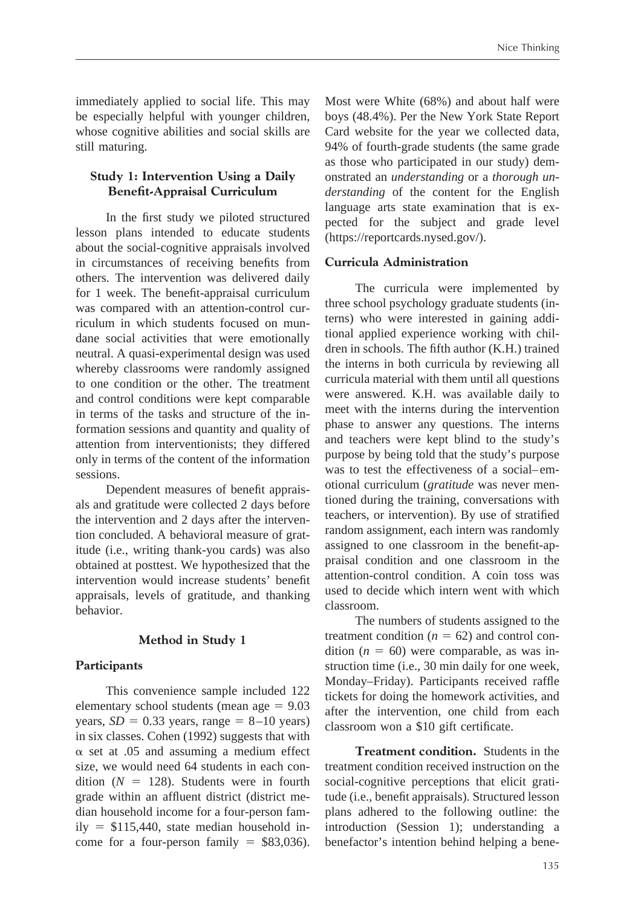immediately applied to social life. This may be especially helpful with younger children, whose cognitive abilities and social skills are still maturing.

# **Study 1: Intervention Using a Daily Benefit-Appraisal Curriculum**

In the first study we piloted structured lesson plans intended to educate students about the social-cognitive appraisals involved in circumstances of receiving benefits from others. The intervention was delivered daily for 1 week. The benefit-appraisal curriculum was compared with an attention-control curriculum in which students focused on mundane social activities that were emotionally neutral. A quasi-experimental design was used whereby classrooms were randomly assigned to one condition or the other. The treatment and control conditions were kept comparable in terms of the tasks and structure of the information sessions and quantity and quality of attention from interventionists; they differed only in terms of the content of the information sessions.

Dependent measures of benefit appraisals and gratitude were collected 2 days before the intervention and 2 days after the intervention concluded. A behavioral measure of gratitude (i.e., writing thank-you cards) was also obtained at posttest. We hypothesized that the intervention would increase students' benefit appraisals, levels of gratitude, and thanking behavior.

# **Method in Study 1**

#### **Participants**

This convenience sample included 122 elementary school students (mean  $age = 9.03$ years,  $SD = 0.33$  years, range =  $8{\text -}10$  years) in six classes. Cohen (1992) suggests that with  $\alpha$  set at .05 and assuming a medium effect size, we would need 64 students in each condition  $(N = 128)$ . Students were in fourth grade within an affluent district (district median household income for a four-person fam $ily = $115,440$ , state median household income for a four-person family  $=$  \$83,036).

Most were White (68%) and about half were boys (48.4%). Per the New York State Report Card website for the year we collected data, 94% of fourth-grade students (the same grade as those who participated in our study) demonstrated an *understanding* or a *thorough understanding* of the content for the English language arts state examination that is expected for the subject and grade level (https://reportcards.nysed.gov/).

### **Curricula Administration**

The curricula were implemented by three school psychology graduate students (interns) who were interested in gaining additional applied experience working with children in schools. The fifth author (K.H.) trained the interns in both curricula by reviewing all curricula material with them until all questions were answered. K.H. was available daily to meet with the interns during the intervention phase to answer any questions. The interns and teachers were kept blind to the study's purpose by being told that the study's purpose was to test the effectiveness of a social–emotional curriculum (*gratitude* was never mentioned during the training, conversations with teachers, or intervention). By use of stratified random assignment, each intern was randomly assigned to one classroom in the benefit-appraisal condition and one classroom in the attention-control condition. A coin toss was used to decide which intern went with which classroom.

The numbers of students assigned to the treatment condition  $(n = 62)$  and control condition  $(n = 60)$  were comparable, as was instruction time (i.e., 30 min daily for one week, Monday–Friday). Participants received raffle tickets for doing the homework activities, and after the intervention, one child from each classroom won a \$10 gift certificate.

**Treatment condition.** Students in the treatment condition received instruction on the social-cognitive perceptions that elicit gratitude (i.e., benefit appraisals). Structured lesson plans adhered to the following outline: the introduction (Session 1); understanding a benefactor's intention behind helping a bene-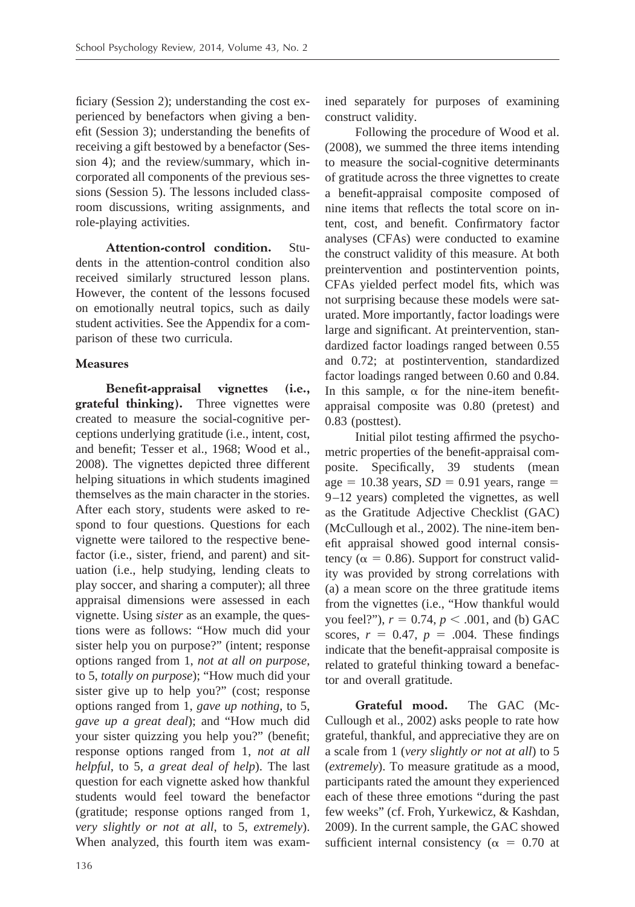ficiary (Session 2); understanding the cost experienced by benefactors when giving a benefit (Session 3); understanding the benefits of receiving a gift bestowed by a benefactor (Session 4); and the review/summary, which incorporated all components of the previous sessions (Session 5). The lessons included classroom discussions, writing assignments, and role-playing activities.

**Attention-control condition.** Students in the attention-control condition also received similarly structured lesson plans. However, the content of the lessons focused on emotionally neutral topics, such as daily student activities. See the Appendix for a comparison of these two curricula.

# **Measures**

**Benefit-appraisal vignettes (i.e., grateful thinking).** Three vignettes were created to measure the social-cognitive perceptions underlying gratitude (i.e., intent, cost, and benefit; Tesser et al., 1968; Wood et al., 2008). The vignettes depicted three different helping situations in which students imagined themselves as the main character in the stories. After each story, students were asked to respond to four questions. Questions for each vignette were tailored to the respective benefactor (i.e., sister, friend, and parent) and situation (i.e., help studying, lending cleats to play soccer, and sharing a computer); all three appraisal dimensions were assessed in each vignette. Using *sister* as an example, the questions were as follows: "How much did your sister help you on purpose?" (intent; response options ranged from 1, *not at all on purpose*, to 5, *totally on purpose*); "How much did your sister give up to help you?" (cost; response options ranged from 1, *gave up nothing*, to 5, *gave up a great deal*); and "How much did your sister quizzing you help you?" (benefit; response options ranged from 1, *not at all helpful*, to 5, *a great deal of help*). The last question for each vignette asked how thankful students would feel toward the benefactor (gratitude; response options ranged from 1, *very slightly or not at all*, to 5, *extremely*). When analyzed, this fourth item was examined separately for purposes of examining construct validity.

Following the procedure of Wood et al. (2008), we summed the three items intending to measure the social-cognitive determinants of gratitude across the three vignettes to create a benefit-appraisal composite composed of nine items that reflects the total score on intent, cost, and benefit. Confirmatory factor analyses (CFAs) were conducted to examine the construct validity of this measure. At both preintervention and postintervention points, CFAs yielded perfect model fits, which was not surprising because these models were saturated. More importantly, factor loadings were large and significant. At preintervention, standardized factor loadings ranged between 0.55 and 0.72; at postintervention, standardized factor loadings ranged between 0.60 and 0.84. In this sample,  $\alpha$  for the nine-item benefitappraisal composite was 0.80 (pretest) and 0.83 (posttest).

Initial pilot testing affirmed the psychometric properties of the benefit-appraisal composite. Specifically, 39 students (mean  $age = 10.38 \text{ years}, SD = 0.91 \text{ years}, range =$ 9 –12 years) completed the vignettes, as well as the Gratitude Adjective Checklist (GAC) (McCullough et al., 2002). The nine-item benefit appraisal showed good internal consistency ( $\alpha = 0.86$ ). Support for construct validity was provided by strong correlations with (a) a mean score on the three gratitude items from the vignettes (i.e., "How thankful would you feel?"),  $r = 0.74$ ,  $p < .001$ , and (b) GAC scores,  $r = 0.47$ ,  $p = .004$ . These findings indicate that the benefit-appraisal composite is related to grateful thinking toward a benefactor and overall gratitude.

**Grateful mood.** The GAC (Mc-Cullough et al., 2002) asks people to rate how grateful, thankful, and appreciative they are on a scale from 1 (*very slightly or not at all*) to 5 (*extremely*). To measure gratitude as a mood, participants rated the amount they experienced each of these three emotions "during the past few weeks" (cf. Froh, Yurkewicz, & Kashdan, 2009). In the current sample, the GAC showed sufficient internal consistency ( $\alpha = 0.70$  at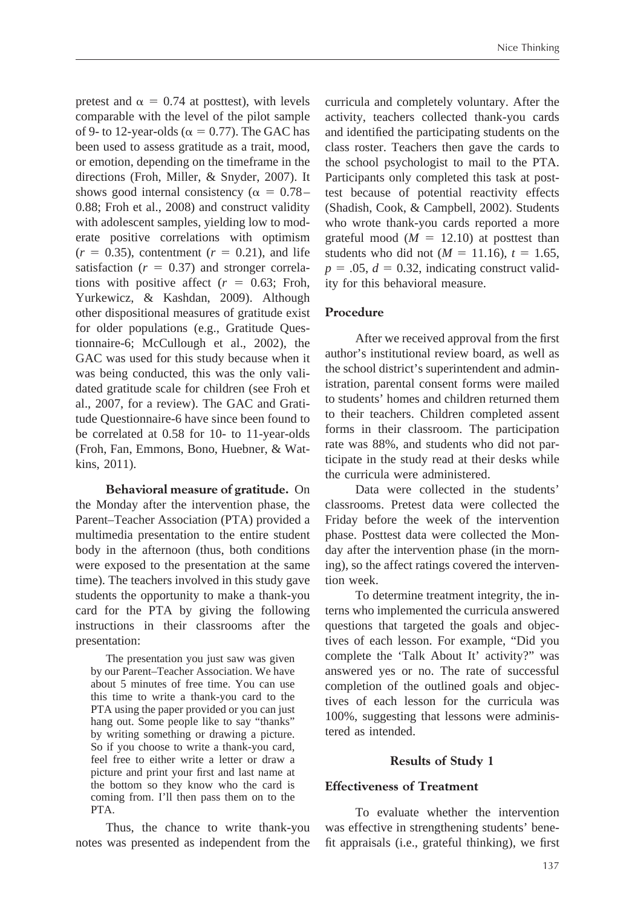pretest and  $\alpha = 0.74$  at posttest), with levels comparable with the level of the pilot sample of 9- to 12-year-olds ( $\alpha = 0.77$ ). The GAC has been used to assess gratitude as a trait, mood, or emotion, depending on the timeframe in the directions (Froh, Miller, & Snyder, 2007). It shows good internal consistency ( $\alpha = 0.78 -$ 0.88; Froh et al., 2008) and construct validity with adolescent samples, yielding low to moderate positive correlations with optimism  $(r = 0.35)$ , contentment  $(r = 0.21)$ , and life satisfaction  $(r = 0.37)$  and stronger correlations with positive affect  $(r = 0.63;$  Froh, Yurkewicz, & Kashdan, 2009). Although other dispositional measures of gratitude exist for older populations (e.g., Gratitude Questionnaire-6; McCullough et al., 2002), the GAC was used for this study because when it was being conducted, this was the only validated gratitude scale for children (see Froh et al., 2007, for a review). The GAC and Gratitude Questionnaire-6 have since been found to be correlated at 0.58 for 10- to 11-year-olds (Froh, Fan, Emmons, Bono, Huebner, & Watkins, 2011).

**Behavioral measure of gratitude.** On the Monday after the intervention phase, the Parent–Teacher Association (PTA) provided a multimedia presentation to the entire student body in the afternoon (thus, both conditions were exposed to the presentation at the same time). The teachers involved in this study gave students the opportunity to make a thank-you card for the PTA by giving the following instructions in their classrooms after the presentation:

The presentation you just saw was given by our Parent–Teacher Association. We have about 5 minutes of free time. You can use this time to write a thank-you card to the PTA using the paper provided or you can just hang out. Some people like to say "thanks" by writing something or drawing a picture. So if you choose to write a thank-you card, feel free to either write a letter or draw a picture and print your first and last name at the bottom so they know who the card is coming from. I'll then pass them on to the PTA.

Thus, the chance to write thank-you notes was presented as independent from the

curricula and completely voluntary. After the activity, teachers collected thank-you cards and identified the participating students on the class roster. Teachers then gave the cards to the school psychologist to mail to the PTA. Participants only completed this task at posttest because of potential reactivity effects (Shadish, Cook, & Campbell, 2002). Students who wrote thank-you cards reported a more grateful mood  $(M = 12.10)$  at posttest than students who did not ( $M = 11.16$ ),  $t = 1.65$ ,  $p = 0.05$ ,  $d = 0.32$ , indicating construct validity for this behavioral measure.

### **Procedure**

After we received approval from the first author's institutional review board, as well as the school district's superintendent and administration, parental consent forms were mailed to students' homes and children returned them to their teachers. Children completed assent forms in their classroom. The participation rate was 88%, and students who did not participate in the study read at their desks while the curricula were administered.

Data were collected in the students' classrooms. Pretest data were collected the Friday before the week of the intervention phase. Posttest data were collected the Monday after the intervention phase (in the morning), so the affect ratings covered the intervention week.

To determine treatment integrity, the interns who implemented the curricula answered questions that targeted the goals and objectives of each lesson. For example, "Did you complete the 'Talk About It' activity?" was answered yes or no. The rate of successful completion of the outlined goals and objectives of each lesson for the curricula was 100%, suggesting that lessons were administered as intended.

#### **Results of Study 1**

#### **Effectiveness of Treatment**

To evaluate whether the intervention was effective in strengthening students' benefit appraisals (i.e., grateful thinking), we first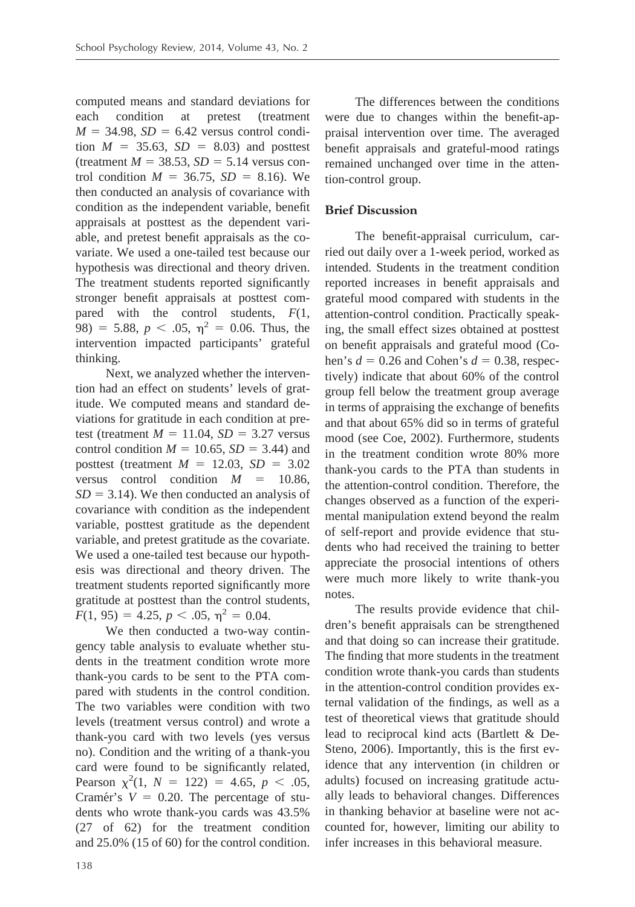computed means and standard deviations for each condition at pretest (treatment  $M = 34.98$ ,  $SD = 6.42$  versus control condition  $M = 35.63$ ,  $SD = 8.03$ ) and posttest  $($ treatment  $M = 38.53$ ,  $SD = 5.14$  versus control condition  $M = 36.75$ ,  $SD = 8.16$ ). We then conducted an analysis of covariance with condition as the independent variable, benefit appraisals at posttest as the dependent variable, and pretest benefit appraisals as the covariate. We used a one-tailed test because our hypothesis was directional and theory driven. The treatment students reported significantly stronger benefit appraisals at posttest compared with the control students, *F*(1, 98) = 5.88,  $p < .05$ ,  $\eta^2 = 0.06$ . Thus, the intervention impacted participants' grateful thinking.

Next, we analyzed whether the intervention had an effect on students' levels of gratitude. We computed means and standard deviations for gratitude in each condition at pretest (treatment  $M = 11.04$ ,  $SD = 3.27$  versus control condition  $M = 10.65$ ,  $SD = 3.44$ ) and posttest (treatment  $M = 12.03$ ,  $SD = 3.02$ versus control condition  $M = 10.86$ ,  $SD = 3.14$ ). We then conducted an analysis of covariance with condition as the independent variable, posttest gratitude as the dependent variable, and pretest gratitude as the covariate. We used a one-tailed test because our hypothesis was directional and theory driven. The treatment students reported significantly more gratitude at posttest than the control students,  $F(1, 95) = 4.25, p < .05, \eta^2 = 0.04.$ 

We then conducted a two-way contingency table analysis to evaluate whether students in the treatment condition wrote more thank-you cards to be sent to the PTA compared with students in the control condition. The two variables were condition with two levels (treatment versus control) and wrote a thank-you card with two levels (yes versus no). Condition and the writing of a thank-you card were found to be significantly related, Pearson  $\chi^2(1, N = 122) = 4.65, p < .05$ , Cramér's  $V = 0.20$ . The percentage of students who wrote thank-you cards was 43.5% (27 of 62) for the treatment condition and 25.0% (15 of 60) for the control condition.

The differences between the conditions were due to changes within the benefit-appraisal intervention over time. The averaged benefit appraisals and grateful-mood ratings remained unchanged over time in the attention-control group.

# **Brief Discussion**

The benefit-appraisal curriculum, carried out daily over a 1-week period, worked as intended. Students in the treatment condition reported increases in benefit appraisals and grateful mood compared with students in the attention-control condition. Practically speaking, the small effect sizes obtained at posttest on benefit appraisals and grateful mood (Cohen's  $d = 0.26$  and Cohen's  $d = 0.38$ , respectively) indicate that about 60% of the control group fell below the treatment group average in terms of appraising the exchange of benefits and that about 65% did so in terms of grateful mood (see Coe, 2002). Furthermore, students in the treatment condition wrote 80% more thank-you cards to the PTA than students in the attention-control condition. Therefore, the changes observed as a function of the experimental manipulation extend beyond the realm of self-report and provide evidence that students who had received the training to better appreciate the prosocial intentions of others were much more likely to write thank-you notes.

The results provide evidence that children's benefit appraisals can be strengthened and that doing so can increase their gratitude. The finding that more students in the treatment condition wrote thank-you cards than students in the attention-control condition provides external validation of the findings, as well as a test of theoretical views that gratitude should lead to reciprocal kind acts (Bartlett & De-Steno, 2006). Importantly, this is the first evidence that any intervention (in children or adults) focused on increasing gratitude actually leads to behavioral changes. Differences in thanking behavior at baseline were not accounted for, however, limiting our ability to infer increases in this behavioral measure.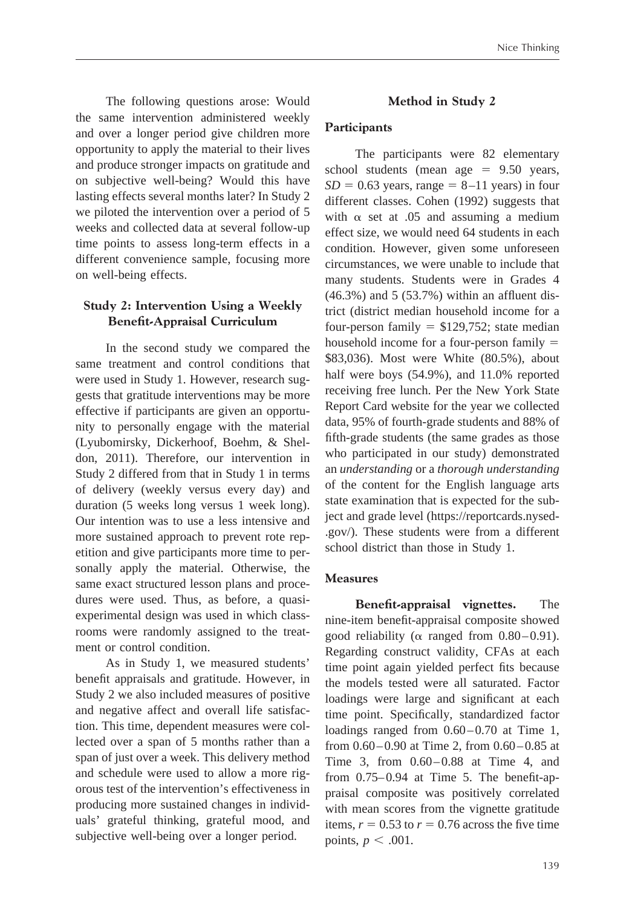The following questions arose: Would the same intervention administered weekly and over a longer period give children more opportunity to apply the material to their lives and produce stronger impacts on gratitude and on subjective well-being? Would this have lasting effects several months later? In Study 2 we piloted the intervention over a period of 5 weeks and collected data at several follow-up time points to assess long-term effects in a different convenience sample, focusing more on well-being effects.

# **Study 2: Intervention Using a Weekly Benefit-Appraisal Curriculum**

In the second study we compared the same treatment and control conditions that were used in Study 1. However, research suggests that gratitude interventions may be more effective if participants are given an opportunity to personally engage with the material (Lyubomirsky, Dickerhoof, Boehm, & Sheldon, 2011). Therefore, our intervention in Study 2 differed from that in Study 1 in terms of delivery (weekly versus every day) and duration (5 weeks long versus 1 week long). Our intention was to use a less intensive and more sustained approach to prevent rote repetition and give participants more time to personally apply the material. Otherwise, the same exact structured lesson plans and procedures were used. Thus, as before, a quasiexperimental design was used in which classrooms were randomly assigned to the treatment or control condition.

As in Study 1, we measured students' benefit appraisals and gratitude. However, in Study 2 we also included measures of positive and negative affect and overall life satisfaction. This time, dependent measures were collected over a span of 5 months rather than a span of just over a week. This delivery method and schedule were used to allow a more rigorous test of the intervention's effectiveness in producing more sustained changes in individuals' grateful thinking, grateful mood, and subjective well-being over a longer period.

### **Method in Study 2**

#### **Participants**

The participants were 82 elementary school students (mean age  $= 9.50$  years,  $SD = 0.63$  years, range  $= 8 - 11$  years) in four different classes. Cohen (1992) suggests that with  $\alpha$  set at .05 and assuming a medium effect size, we would need 64 students in each condition. However, given some unforeseen circumstances, we were unable to include that many students. Students were in Grades 4 (46.3%) and 5 (53.7%) within an affluent district (district median household income for a four-person family  $=$  \$129,752; state median household income for a four-person family  $=$ \$83,036). Most were White (80.5%), about half were boys (54.9%), and 11.0% reported receiving free lunch. Per the New York State Report Card website for the year we collected data, 95% of fourth-grade students and 88% of fifth-grade students (the same grades as those who participated in our study) demonstrated an *understanding* or a *thorough understanding* of the content for the English language arts state examination that is expected for the subject and grade level (https://reportcards.nysed- .gov/). These students were from a different school district than those in Study 1.

#### **Measures**

**Benefit-appraisal vignettes.** The nine-item benefit-appraisal composite showed good reliability ( $\alpha$  ranged from 0.80–0.91). Regarding construct validity, CFAs at each time point again yielded perfect fits because the models tested were all saturated. Factor loadings were large and significant at each time point. Specifically, standardized factor loadings ranged from  $0.60 - 0.70$  at Time 1, from  $0.60 - 0.90$  at Time 2, from  $0.60 - 0.85$  at Time 3, from 0.60 – 0.88 at Time 4, and from 0.75–0.94 at Time 5. The benefit-appraisal composite was positively correlated with mean scores from the vignette gratitude items,  $r = 0.53$  to  $r = 0.76$  across the five time points,  $p < .001$ .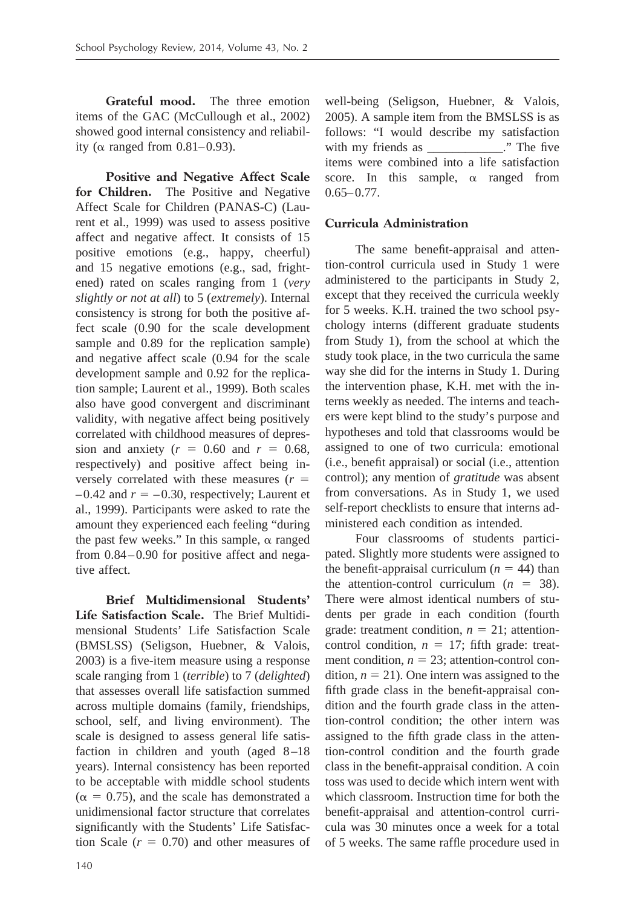**Grateful mood.** The three emotion items of the GAC (McCullough et al., 2002) showed good internal consistency and reliability ( $\alpha$  ranged from 0.81–0.93).

**Positive and Negative Affect Scale for Children.** The Positive and Negative Affect Scale for Children (PANAS-C) (Laurent et al., 1999) was used to assess positive affect and negative affect. It consists of 15 positive emotions (e.g., happy, cheerful) and 15 negative emotions (e.g., sad, frightened) rated on scales ranging from 1 (*very slightly or not at all*) to 5 (*extremely*). Internal consistency is strong for both the positive affect scale (0.90 for the scale development sample and 0.89 for the replication sample) and negative affect scale (0.94 for the scale development sample and 0.92 for the replication sample; Laurent et al., 1999). Both scales also have good convergent and discriminant validity, with negative affect being positively correlated with childhood measures of depression and anxiety  $(r = 0.60$  and  $r = 0.68$ , respectively) and positive affect being inversely correlated with these measures  $(r =$  $-0.42$  and  $r = -0.30$ , respectively; Laurent et al., 1999). Participants were asked to rate the amount they experienced each feeling "during the past few weeks." In this sample,  $\alpha$  ranged from  $0.84 - 0.90$  for positive affect and negative affect.

**Brief Multidimensional Students' Life Satisfaction Scale.** The Brief Multidimensional Students' Life Satisfaction Scale (BMSLSS) (Seligson, Huebner, & Valois, 2003) is a five-item measure using a response scale ranging from 1 (*terrible*) to 7 (*delighted*) that assesses overall life satisfaction summed across multiple domains (family, friendships, school, self, and living environment). The scale is designed to assess general life satisfaction in children and youth (aged 8-18) years). Internal consistency has been reported to be acceptable with middle school students  $(\alpha = 0.75)$ , and the scale has demonstrated a unidimensional factor structure that correlates significantly with the Students' Life Satisfaction Scale  $(r = 0.70)$  and other measures of

well-being (Seligson, Huebner, & Valois, 2005). A sample item from the BMSLSS is as follows: "I would describe my satisfaction with my friends as  $\therefore$  The five items were combined into a life satisfaction score. In this sample,  $\alpha$  ranged from  $0.65 - 0.77$ .

# **Curricula Administration**

The same benefit-appraisal and attention-control curricula used in Study 1 were administered to the participants in Study 2, except that they received the curricula weekly for 5 weeks. K.H. trained the two school psychology interns (different graduate students from Study 1), from the school at which the study took place, in the two curricula the same way she did for the interns in Study 1. During the intervention phase, K.H. met with the interns weekly as needed. The interns and teachers were kept blind to the study's purpose and hypotheses and told that classrooms would be assigned to one of two curricula: emotional (i.e., benefit appraisal) or social (i.e., attention control); any mention of *gratitude* was absent from conversations. As in Study 1, we used self-report checklists to ensure that interns administered each condition as intended.

Four classrooms of students participated. Slightly more students were assigned to the benefit-appraisal curriculum  $(n = 44)$  than the attention-control curriculum  $(n = 38)$ . There were almost identical numbers of students per grade in each condition (fourth grade: treatment condition,  $n = 21$ ; attentioncontrol condition,  $n = 17$ ; fifth grade: treatment condition,  $n = 23$ ; attention-control condition,  $n = 21$ ). One intern was assigned to the fifth grade class in the benefit-appraisal condition and the fourth grade class in the attention-control condition; the other intern was assigned to the fifth grade class in the attention-control condition and the fourth grade class in the benefit-appraisal condition. A coin toss was used to decide which intern went with which classroom. Instruction time for both the benefit-appraisal and attention-control curricula was 30 minutes once a week for a total of 5 weeks. The same raffle procedure used in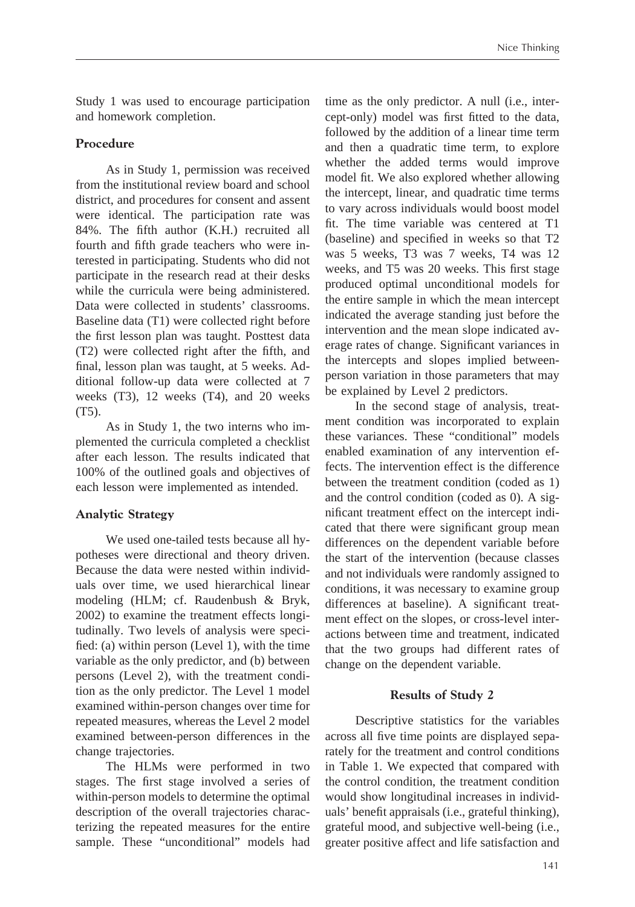Study 1 was used to encourage participation and homework completion.

#### **Procedure**

As in Study 1, permission was received from the institutional review board and school district, and procedures for consent and assent were identical. The participation rate was 84%. The fifth author (K.H.) recruited all fourth and fifth grade teachers who were interested in participating. Students who did not participate in the research read at their desks while the curricula were being administered. Data were collected in students' classrooms. Baseline data (T1) were collected right before the first lesson plan was taught. Posttest data (T2) were collected right after the fifth, and final, lesson plan was taught, at 5 weeks. Additional follow-up data were collected at 7 weeks (T3), 12 weeks (T4), and 20 weeks (T5).

As in Study 1, the two interns who implemented the curricula completed a checklist after each lesson. The results indicated that 100% of the outlined goals and objectives of each lesson were implemented as intended.

# **Analytic Strategy**

We used one-tailed tests because all hypotheses were directional and theory driven. Because the data were nested within individuals over time, we used hierarchical linear modeling (HLM; cf. Raudenbush & Bryk, 2002) to examine the treatment effects longitudinally. Two levels of analysis were specified: (a) within person (Level 1), with the time variable as the only predictor, and (b) between persons (Level 2), with the treatment condition as the only predictor. The Level 1 model examined within-person changes over time for repeated measures, whereas the Level 2 model examined between-person differences in the change trajectories.

The HLMs were performed in two stages. The first stage involved a series of within-person models to determine the optimal description of the overall trajectories characterizing the repeated measures for the entire sample. These "unconditional" models had

time as the only predictor. A null (i.e., intercept-only) model was first fitted to the data, followed by the addition of a linear time term and then a quadratic time term, to explore whether the added terms would improve model fit. We also explored whether allowing the intercept, linear, and quadratic time terms to vary across individuals would boost model fit. The time variable was centered at T1 (baseline) and specified in weeks so that T2 was 5 weeks, T3 was 7 weeks, T4 was 12 weeks, and T5 was 20 weeks. This first stage produced optimal unconditional models for the entire sample in which the mean intercept indicated the average standing just before the intervention and the mean slope indicated average rates of change. Significant variances in the intercepts and slopes implied betweenperson variation in those parameters that may be explained by Level 2 predictors.

In the second stage of analysis, treatment condition was incorporated to explain these variances. These "conditional" models enabled examination of any intervention effects. The intervention effect is the difference between the treatment condition (coded as 1) and the control condition (coded as 0). A significant treatment effect on the intercept indicated that there were significant group mean differences on the dependent variable before the start of the intervention (because classes and not individuals were randomly assigned to conditions, it was necessary to examine group differences at baseline). A significant treatment effect on the slopes, or cross-level interactions between time and treatment, indicated that the two groups had different rates of change on the dependent variable.

#### **Results of Study 2**

Descriptive statistics for the variables across all five time points are displayed separately for the treatment and control conditions in Table 1. We expected that compared with the control condition, the treatment condition would show longitudinal increases in individuals' benefit appraisals (i.e., grateful thinking), grateful mood, and subjective well-being (i.e., greater positive affect and life satisfaction and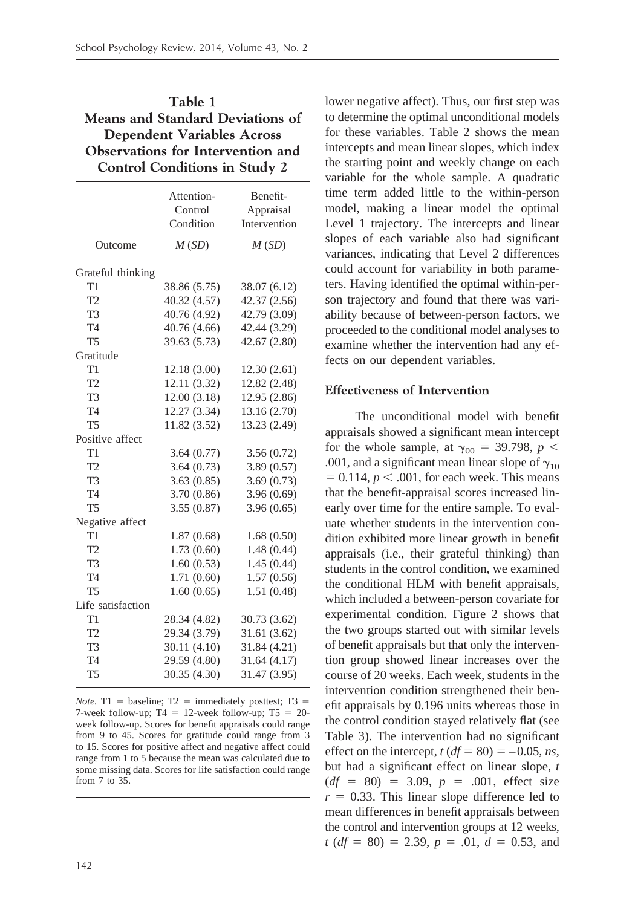# **Table 1 Means and Standard Deviations of Dependent Variables Across Observations for Intervention and Control Conditions in Study 2**

|                   | Attention-<br>Control<br>Condition | Benefit-<br>Appraisal<br>Intervention |
|-------------------|------------------------------------|---------------------------------------|
| Outcome           | M(SD)                              | M(SD)                                 |
| Grateful thinking |                                    |                                       |
| T1                | 38.86 (5.75)                       | 38.07 (6.12)                          |
| T <sub>2</sub>    | 40.32 (4.57)                       | 42.37 (2.56)                          |
| T <sub>3</sub>    | 40.76 (4.92)                       | 42.79 (3.09)                          |
| T <sub>4</sub>    | 40.76 (4.66)                       | 42.44 (3.29)                          |
| T <sub>5</sub>    | 39.63 (5.73)                       | 42.67 (2.80)                          |
| Gratitude         |                                    |                                       |
| T1                | 12.18 (3.00)                       | 12.30(2.61)                           |
| T <sub>2</sub>    | 12.11 (3.32)                       | 12.82 (2.48)                          |
| T <sub>3</sub>    | 12.00(3.18)                        | 12.95 (2.86)                          |
| T <sub>4</sub>    | 12.27 (3.34)                       | 13.16 (2.70)                          |
| <b>T5</b>         | 11.82 (3.52)                       | 13.23 (2.49)                          |
| Positive affect   |                                    |                                       |
| T1                | 3.64(0.77)                         | 3.56(0.72)                            |
| T <sub>2</sub>    | 3.64(0.73)                         | 3.89(0.57)                            |
| T <sub>3</sub>    | 3.63(0.85)                         | 3.69(0.73)                            |
| T <sub>4</sub>    | 3.70 (0.86)                        | 3.96(0.69)                            |
| <b>T5</b>         | 3.55(0.87)                         | 3.96(0.65)                            |
| Negative affect   |                                    |                                       |
| T1                | 1.87(0.68)                         | 1.68(0.50)                            |
| T2                | 1.73(0.60)                         | 1.48(0.44)                            |
| T <sub>3</sub>    | 1.60(0.53)                         | 1.45(0.44)                            |
| T <sub>4</sub>    | 1.71(0.60)                         | 1.57(0.56)                            |
| <b>T5</b>         | 1.60(0.65)                         | 1.51(0.48)                            |
| Life satisfaction |                                    |                                       |
| T1                | 28.34 (4.82)                       | 30.73 (3.62)                          |
| T <sub>2</sub>    | 29.34 (3.79)                       | 31.61 (3.62)                          |
| T <sub>3</sub>    | 30.11 (4.10)                       | 31.84 (4.21)                          |
| T <sub>4</sub>    | 29.59 (4.80)                       | 31.64 (4.17)                          |
| T <sub>5</sub>    | 30.35 (4.30)                       | 31.47 (3.95)                          |

*Note.* T1 = baseline; T2 = immediately posttest; T3 = 7-week follow-up;  $T4 = 12$ -week follow-up;  $T5 = 20$ week follow-up. Scores for benefit appraisals could range from 9 to 45. Scores for gratitude could range from 3 to 15. Scores for positive affect and negative affect could range from 1 to 5 because the mean was calculated due to some missing data. Scores for life satisfaction could range from 7 to 35.

lower negative affect). Thus, our first step was to determine the optimal unconditional models for these variables. Table 2 shows the mean intercepts and mean linear slopes, which index the starting point and weekly change on each variable for the whole sample. A quadratic time term added little to the within-person model, making a linear model the optimal Level 1 trajectory. The intercepts and linear slopes of each variable also had significant variances, indicating that Level 2 differences could account for variability in both parameters. Having identified the optimal within-person trajectory and found that there was variability because of between-person factors, we proceeded to the conditional model analyses to examine whether the intervention had any effects on our dependent variables.

#### **Effectiveness of Intervention**

The unconditional model with benefit appraisals showed a significant mean intercept for the whole sample, at  $\gamma_{00} = 39.798$ ,  $p <$ .001, and a significant mean linear slope of  $\gamma_{10}$  $= 0.114$ ,  $p < .001$ , for each week. This means that the benefit-appraisal scores increased linearly over time for the entire sample. To evaluate whether students in the intervention condition exhibited more linear growth in benefit appraisals (i.e., their grateful thinking) than students in the control condition, we examined the conditional HLM with benefit appraisals, which included a between-person covariate for experimental condition. Figure 2 shows that the two groups started out with similar levels of benefit appraisals but that only the intervention group showed linear increases over the course of 20 weeks. Each week, students in the intervention condition strengthened their benefit appraisals by 0.196 units whereas those in the control condition stayed relatively flat (see Table 3). The intervention had no significant effect on the intercept,  $t (df = 80) = -0.05$ , *ns*, but had a significant effect on linear slope, *t*  $(df = 80) = 3.09, p = .001, effect size$  $r = 0.33$ . This linear slope difference led to mean differences in benefit appraisals between the control and intervention groups at 12 weeks,  $t (df = 80) = 2.39, p = .01, d = 0.53, and$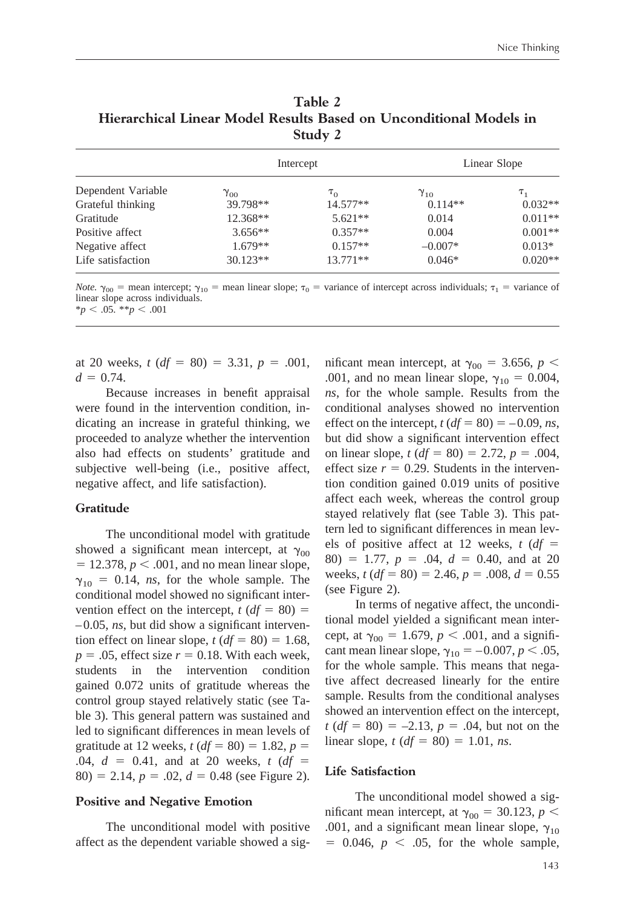| Table 2                                                            |
|--------------------------------------------------------------------|
| Hierarchical Linear Model Results Based on Unconditional Models in |
| Study 2                                                            |

|                    | Intercept     |            | Linear Slope  |           |
|--------------------|---------------|------------|---------------|-----------|
| Dependent Variable | $\gamma_{00}$ | $\tau_{0}$ | $\gamma_{10}$ | $T_{1}$   |
| Grateful thinking  | 39.798**      | $14.577**$ | $0.114**$     | $0.032**$ |
| Gratitude          | 12.368**      | $5.621**$  | 0.014         | $0.011**$ |
| Positive affect    | $3.656**$     | $0.357**$  | 0.004         | $0.001**$ |
| Negative affect    | $1.679**$     | $0.157**$  | $-0.007*$     | $0.013*$  |
| Life satisfaction  | $30.123**$    | $13.771**$ | $0.046*$      | $0.020**$ |

*Note.*  $\gamma_{00}$  = mean intercept;  $\gamma_{10}$  = mean linear slope;  $\tau_0$  = variance of intercept across individuals;  $\tau_1$  = variance of linear slope across individuals.  $*_{p}$  < .05.  $*_{p}$  < .001

at 20 weeks,  $t (df = 80) = 3.31, p = .001$ ,  $d = 0.74$ .

Because increases in benefit appraisal were found in the intervention condition, indicating an increase in grateful thinking, we proceeded to analyze whether the intervention also had effects on students' gratitude and subjective well-being (i.e., positive affect, negative affect, and life satisfaction).

#### **Gratitude**

The unconditional model with gratitude showed a significant mean intercept, at  $\gamma_{00}$  $= 12.378, p < .001$ , and no mean linear slope,  $\gamma_{10}$  = 0.14, *ns*, for the whole sample. The conditional model showed no significant intervention effect on the intercept,  $t (df = 80) =$ – 0.05, *ns*, but did show a significant intervention effect on linear slope,  $t (df = 80) = 1.68$ ,  $p = 0.05$ , effect size  $r = 0.18$ . With each week, students in the intervention condition gained 0.072 units of gratitude whereas the control group stayed relatively static (see Table 3). This general pattern was sustained and led to significant differences in mean levels of gratitude at 12 weeks,  $t (df = 80) = 1.82, p = 1$  $.04, d = 0.41, and at 20 weeks, t (df = 0.41)$  $80$ ) = 2.14,  $p = .02$ ,  $d = 0.48$  (see Figure 2).

#### **Positive and Negative Emotion**

The unconditional model with positive affect as the dependent variable showed a sig-

mificant mean intercept, at  $\gamma_{00} = 3.656$ ,  $p <$ .001, and no mean linear slope,  $\gamma_{10} = 0.004$ , *ns*, for the whole sample. Results from the conditional analyses showed no intervention effect on the intercept,  $t (df = 80) = -0.09$ , *ns*, but did show a significant intervention effect on linear slope,  $t (df = 80) = 2.72, p = .004,$ effect size  $r = 0.29$ . Students in the intervention condition gained 0.019 units of positive affect each week, whereas the control group stayed relatively flat (see Table 3). This pattern led to significant differences in mean levels of positive affect at 12 weeks,  $t (df =$  $80) = 1.77, p = .04, d = 0.40, and at 20$ weeks,  $t (df = 80) = 2.46$ ,  $p = .008$ ,  $d = 0.55$ (see Figure 2).

In terms of negative affect, the unconditional model yielded a significant mean intercept, at  $\gamma_{00} = 1.679$ ,  $p < .001$ , and a significant mean linear slope,  $\gamma_{10} = -0.007, p < .05$ , for the whole sample. This means that negative affect decreased linearly for the entire sample. Results from the conditional analyses showed an intervention effect on the intercept,  $t (df = 80) = -2.13, p = .04$ , but not on the linear slope, *t* (*df* = 80) = 1.01, *ns*.

#### **Life Satisfaction**

The unconditional model showed a significant mean intercept, at  $\gamma_{00} = 30.123$ ,  $p <$ .001, and a significant mean linear slope,  $\gamma_{10}$  $= 0.046, p < .05$ , for the whole sample,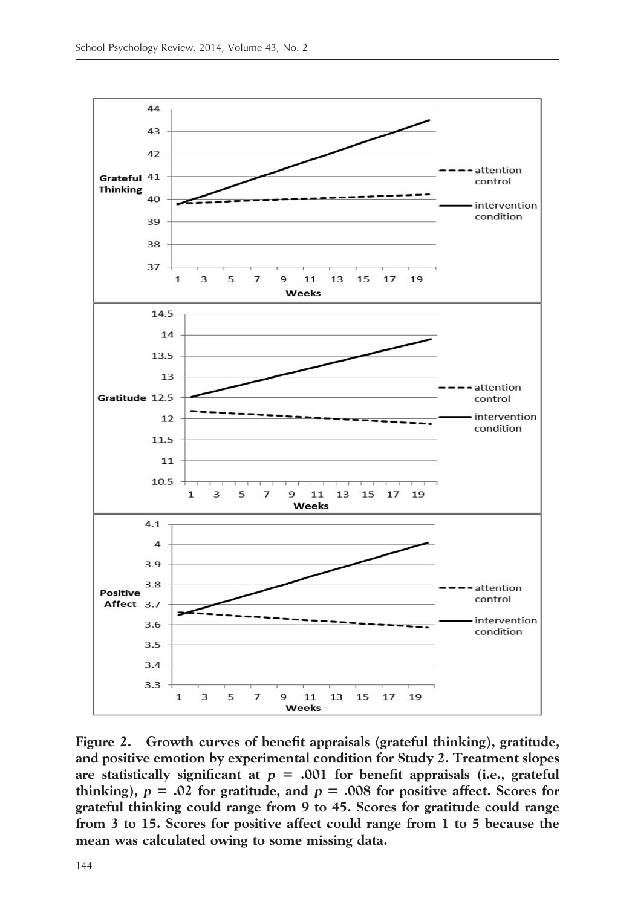

**Figure 2. Growth curves of benefit appraisals (grateful thinking), gratitude, and positive emotion by experimental condition for Study 2. Treatment slopes** are statistically significant at  $p = .001$  for benefit appraisals (i.e., grateful **thinking**),  $p = .02$  for gratitude, and  $p = .008$  for positive affect. Scores for **grateful thinking could range from 9 to 45. Scores for gratitude could range from 3 to 15. Scores for positive affect could range from 1 to 5 because the mean was calculated owing to some missing data.**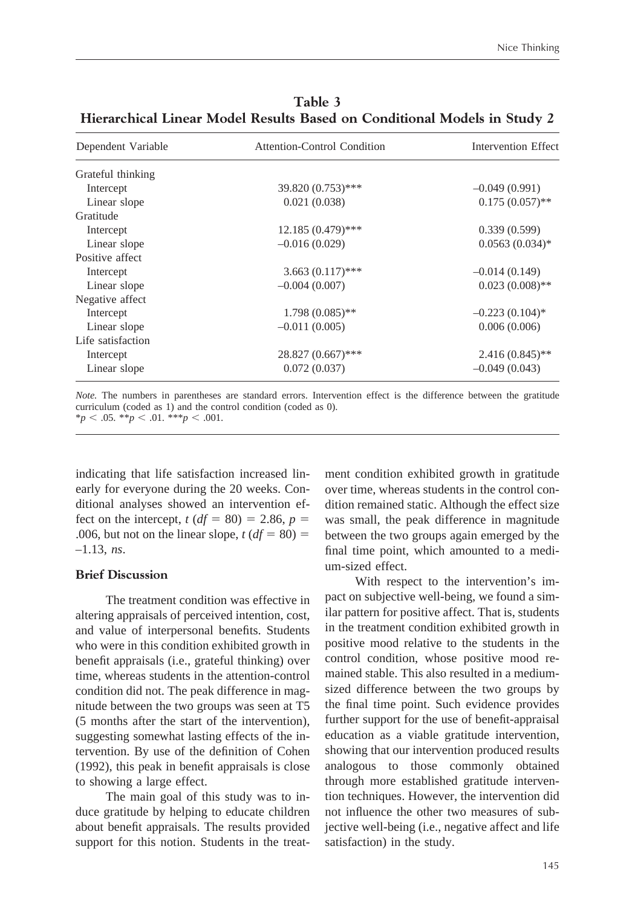| Dependent Variable | <b>Attention-Control Condition</b> | Intervention Effect |
|--------------------|------------------------------------|---------------------|
| Grateful thinking  |                                    |                     |
| Intercept          | 39.820 (0.753)***                  | $-0.049(0.991)$     |
| Linear slope       | 0.021(0.038)                       | $0.175(0.057)$ **   |
| Gratitude          |                                    |                     |
| Intercept          | $12.185(0.479)$ ***                | 0.339(0.599)        |
| Linear slope       | $-0.016(0.029)$                    | $0.0563(0.034)$ *   |
| Positive affect    |                                    |                     |
| Intercept          | $3.663(0.117)$ ***                 | $-0.014(0.149)$     |
| Linear slope       | $-0.004(0.007)$                    | $0.023(0.008)$ **   |
| Negative affect    |                                    |                     |
| Intercept          | $1.798(0.085)$ **                  | $-0.223(0.104)$ *   |
| Linear slope       | $-0.011(0.005)$                    | 0.006(0.006)        |
| Life satisfaction  |                                    |                     |
| Intercept          | $28.827(0.667)$ ***                | $2.416(0.845)$ **   |
| Linear slope       | 0.072(0.037)                       | $-0.049(0.043)$     |

**Table 3 Hierarchical Linear Model Results Based on Conditional Models in Study 2**

*Note.* The numbers in parentheses are standard errors. Intervention effect is the difference between the gratitude curriculum (coded as 1) and the control condition (coded as 0).

 $*_{p}$  < .05.  $*_{p}$  < .01.  $*_{p}$  < .001.

indicating that life satisfaction increased linearly for everyone during the 20 weeks. Conditional analyses showed an intervention effect on the intercept,  $t (df = 80) = 2.86, p = 1$ .006, but not on the linear slope,  $t (df = 80) =$ –1.13, *ns*.

#### **Brief Discussion**

The treatment condition was effective in altering appraisals of perceived intention, cost, and value of interpersonal benefits. Students who were in this condition exhibited growth in benefit appraisals (i.e., grateful thinking) over time, whereas students in the attention-control condition did not. The peak difference in magnitude between the two groups was seen at T5 (5 months after the start of the intervention), suggesting somewhat lasting effects of the intervention. By use of the definition of Cohen (1992), this peak in benefit appraisals is close to showing a large effect.

The main goal of this study was to induce gratitude by helping to educate children about benefit appraisals. The results provided support for this notion. Students in the treatment condition exhibited growth in gratitude over time, whereas students in the control condition remained static. Although the effect size was small, the peak difference in magnitude between the two groups again emerged by the final time point, which amounted to a medium-sized effect.

With respect to the intervention's impact on subjective well-being, we found a similar pattern for positive affect. That is, students in the treatment condition exhibited growth in positive mood relative to the students in the control condition, whose positive mood remained stable. This also resulted in a mediumsized difference between the two groups by the final time point. Such evidence provides further support for the use of benefit-appraisal education as a viable gratitude intervention, showing that our intervention produced results analogous to those commonly obtained through more established gratitude intervention techniques. However, the intervention did not influence the other two measures of subjective well-being (i.e., negative affect and life satisfaction) in the study.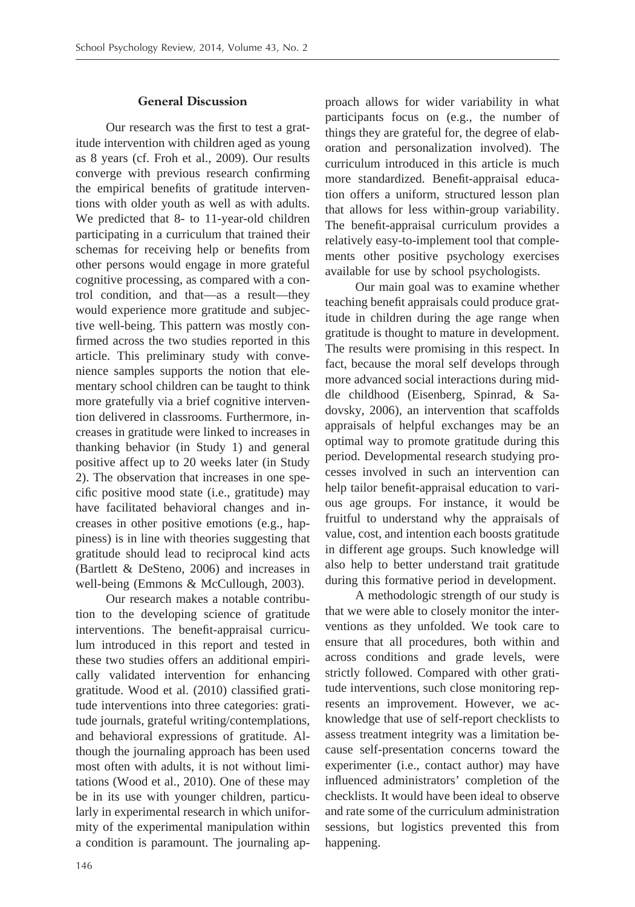### **General Discussion**

Our research was the first to test a gratitude intervention with children aged as young as 8 years (cf. Froh et al., 2009). Our results converge with previous research confirming the empirical benefits of gratitude interventions with older youth as well as with adults. We predicted that 8- to 11-year-old children participating in a curriculum that trained their schemas for receiving help or benefits from other persons would engage in more grateful cognitive processing, as compared with a control condition, and that—as a result—they would experience more gratitude and subjective well-being. This pattern was mostly confirmed across the two studies reported in this article. This preliminary study with convenience samples supports the notion that elementary school children can be taught to think more gratefully via a brief cognitive intervention delivered in classrooms. Furthermore, increases in gratitude were linked to increases in thanking behavior (in Study 1) and general positive affect up to 20 weeks later (in Study 2). The observation that increases in one specific positive mood state (i.e., gratitude) may have facilitated behavioral changes and increases in other positive emotions (e.g., happiness) is in line with theories suggesting that gratitude should lead to reciprocal kind acts (Bartlett & DeSteno, 2006) and increases in well-being (Emmons & McCullough, 2003).

Our research makes a notable contribution to the developing science of gratitude interventions. The benefit-appraisal curriculum introduced in this report and tested in these two studies offers an additional empirically validated intervention for enhancing gratitude. Wood et al. (2010) classified gratitude interventions into three categories: gratitude journals, grateful writing/contemplations, and behavioral expressions of gratitude. Although the journaling approach has been used most often with adults, it is not without limitations (Wood et al., 2010). One of these may be in its use with younger children, particularly in experimental research in which uniformity of the experimental manipulation within a condition is paramount. The journaling ap-

proach allows for wider variability in what participants focus on (e.g., the number of things they are grateful for, the degree of elaboration and personalization involved). The curriculum introduced in this article is much more standardized. Benefit-appraisal education offers a uniform, structured lesson plan that allows for less within-group variability. The benefit-appraisal curriculum provides a relatively easy-to-implement tool that complements other positive psychology exercises available for use by school psychologists.

Our main goal was to examine whether teaching benefit appraisals could produce gratitude in children during the age range when gratitude is thought to mature in development. The results were promising in this respect. In fact, because the moral self develops through more advanced social interactions during middle childhood (Eisenberg, Spinrad, & Sadovsky, 2006), an intervention that scaffolds appraisals of helpful exchanges may be an optimal way to promote gratitude during this period. Developmental research studying processes involved in such an intervention can help tailor benefit-appraisal education to various age groups. For instance, it would be fruitful to understand why the appraisals of value, cost, and intention each boosts gratitude in different age groups. Such knowledge will also help to better understand trait gratitude during this formative period in development.

A methodologic strength of our study is that we were able to closely monitor the interventions as they unfolded. We took care to ensure that all procedures, both within and across conditions and grade levels, were strictly followed. Compared with other gratitude interventions, such close monitoring represents an improvement. However, we acknowledge that use of self-report checklists to assess treatment integrity was a limitation because self-presentation concerns toward the experimenter (i.e., contact author) may have influenced administrators' completion of the checklists. It would have been ideal to observe and rate some of the curriculum administration sessions, but logistics prevented this from happening.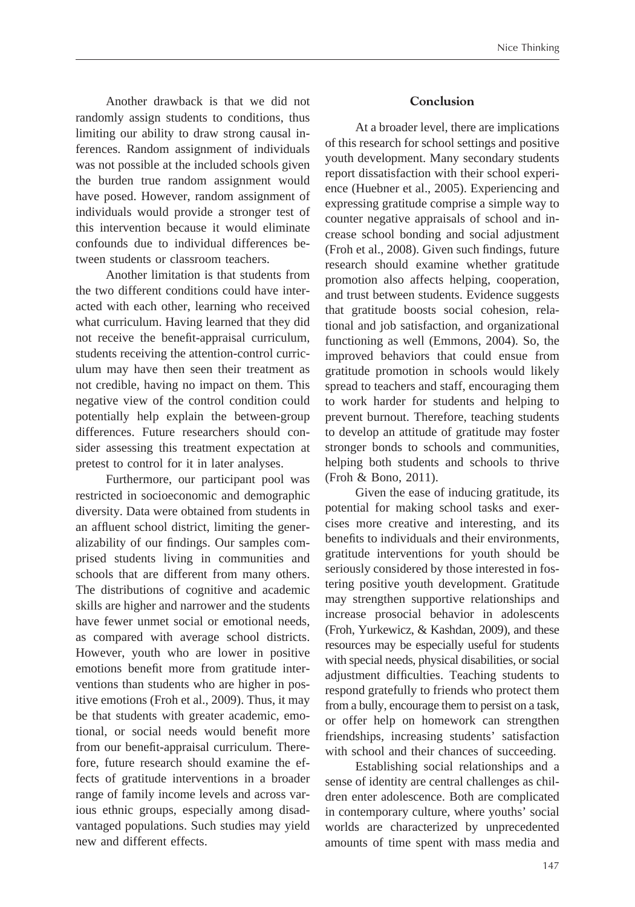Another drawback is that we did not randomly assign students to conditions, thus limiting our ability to draw strong causal inferences. Random assignment of individuals was not possible at the included schools given the burden true random assignment would have posed. However, random assignment of individuals would provide a stronger test of this intervention because it would eliminate confounds due to individual differences between students or classroom teachers.

Another limitation is that students from the two different conditions could have interacted with each other, learning who received what curriculum. Having learned that they did not receive the benefit-appraisal curriculum, students receiving the attention-control curriculum may have then seen their treatment as not credible, having no impact on them. This negative view of the control condition could potentially help explain the between-group differences. Future researchers should consider assessing this treatment expectation at pretest to control for it in later analyses.

Furthermore, our participant pool was restricted in socioeconomic and demographic diversity. Data were obtained from students in an affluent school district, limiting the generalizability of our findings. Our samples comprised students living in communities and schools that are different from many others. The distributions of cognitive and academic skills are higher and narrower and the students have fewer unmet social or emotional needs, as compared with average school districts. However, youth who are lower in positive emotions benefit more from gratitude interventions than students who are higher in positive emotions (Froh et al., 2009). Thus, it may be that students with greater academic, emotional, or social needs would benefit more from our benefit-appraisal curriculum. Therefore, future research should examine the effects of gratitude interventions in a broader range of family income levels and across various ethnic groups, especially among disadvantaged populations. Such studies may yield new and different effects.

### **Conclusion**

At a broader level, there are implications of this research for school settings and positive youth development. Many secondary students report dissatisfaction with their school experience (Huebner et al., 2005). Experiencing and expressing gratitude comprise a simple way to counter negative appraisals of school and increase school bonding and social adjustment (Froh et al., 2008). Given such findings, future research should examine whether gratitude promotion also affects helping, cooperation, and trust between students. Evidence suggests that gratitude boosts social cohesion, relational and job satisfaction, and organizational functioning as well (Emmons, 2004). So, the improved behaviors that could ensue from gratitude promotion in schools would likely spread to teachers and staff, encouraging them to work harder for students and helping to prevent burnout. Therefore, teaching students to develop an attitude of gratitude may foster stronger bonds to schools and communities, helping both students and schools to thrive (Froh & Bono, 2011).

Given the ease of inducing gratitude, its potential for making school tasks and exercises more creative and interesting, and its benefits to individuals and their environments, gratitude interventions for youth should be seriously considered by those interested in fostering positive youth development. Gratitude may strengthen supportive relationships and increase prosocial behavior in adolescents (Froh, Yurkewicz, & Kashdan, 2009), and these resources may be especially useful for students with special needs, physical disabilities, or social adjustment difficulties. Teaching students to respond gratefully to friends who protect them from a bully, encourage them to persist on a task, or offer help on homework can strengthen friendships, increasing students' satisfaction with school and their chances of succeeding.

Establishing social relationships and a sense of identity are central challenges as children enter adolescence. Both are complicated in contemporary culture, where youths' social worlds are characterized by unprecedented amounts of time spent with mass media and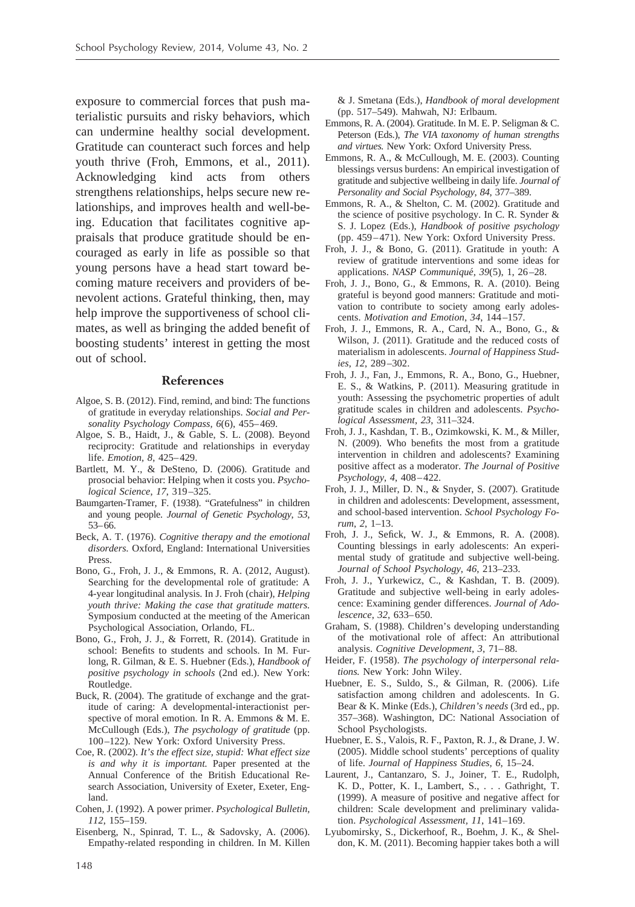exposure to commercial forces that push materialistic pursuits and risky behaviors, which can undermine healthy social development. Gratitude can counteract such forces and help youth thrive (Froh, Emmons, et al., 2011). Acknowledging kind acts from others strengthens relationships, helps secure new relationships, and improves health and well-being. Education that facilitates cognitive appraisals that produce gratitude should be encouraged as early in life as possible so that young persons have a head start toward becoming mature receivers and providers of benevolent actions. Grateful thinking, then, may help improve the supportiveness of school climates, as well as bringing the added benefit of boosting students' interest in getting the most out of school.

#### **References**

- Algoe, S. B. (2012). Find, remind, and bind: The functions of gratitude in everyday relationships. *Social and Personality Psychology Compass, 6*(6), 455– 469.
- Algoe, S. B., Haidt, J., & Gable, S. L. (2008). Beyond reciprocity: Gratitude and relationships in everyday life. *Emotion, 8*, 425– 429.
- Bartlett, M. Y., & DeSteno, D. (2006). Gratitude and prosocial behavior: Helping when it costs you. *Psychological Science*, *17*, 319 –325.
- Baumgarten-Tramer, F. (1938). "Gratefulness" in children and young people. *Journal of Genetic Psychology*, *53*, 53– 66.
- Beck, A. T. (1976). *Cognitive therapy and the emotional disorders.* Oxford, England: International Universities Press.
- Bono, G., Froh, J. J., & Emmons, R. A. (2012, August). Searching for the developmental role of gratitude: A 4-year longitudinal analysis. In J. Froh (chair), *Helping youth thrive: Making the case that gratitude matters.* Symposium conducted at the meeting of the American Psychological Association, Orlando, FL.
- Bono, G., Froh, J. J., & Forrett, R. (2014). Gratitude in school: Benefits to students and schools. In M. Furlong, R. Gilman, & E. S. Huebner (Eds.), *Handbook of positive psychology in schools* (2nd ed.). New York: Routledge.
- Buck, R. (2004). The gratitude of exchange and the gratitude of caring: A developmental-interactionist perspective of moral emotion. In R. A. Emmons & M. E. McCullough (Eds.), *The psychology of gratitude* (pp. 100 –122). New York: Oxford University Press.
- Coe, R. (2002). *It's the effect size, stupid: What effect size is and why it is important.* Paper presented at the Annual Conference of the British Educational Research Association, University of Exeter, Exeter, England.
- Cohen, J. (1992). A power primer. *Psychological Bulletin, 112*, 155–159.
- Eisenberg, N., Spinrad, T. L., & Sadovsky, A. (2006). Empathy-related responding in children. In M. Killen

& J. Smetana (Eds.), *Handbook of moral development* (pp. 517–549). Mahwah, NJ: Erlbaum.

- Emmons, R. A. (2004). Gratitude. In M. E. P. Seligman & C. Peterson (Eds.), *The VIA taxonomy of human strengths and virtues.* New York: Oxford University Press.
- Emmons, R. A., & McCullough, M. E. (2003). Counting blessings versus burdens: An empirical investigation of gratitude and subjective wellbeing in daily life. *Journal of Personality and Social Psychology*, *84*, 377–389.
- Emmons, R. A., & Shelton, C. M. (2002). Gratitude and the science of positive psychology. In C. R. Synder & S. J. Lopez (Eds.), *Handbook of positive psychology* (pp. 459 – 471). New York: Oxford University Press.
- Froh, J. J., & Bono, G. (2011). Gratitude in youth: A review of gratitude interventions and some ideas for applications. *NASP Communiqué*, 39(5), 1, 26-28.
- Froh, J. J., Bono, G., & Emmons, R. A. (2010). Being grateful is beyond good manners: Gratitude and motivation to contribute to society among early adolescents. *Motivation and Emotion*, *34*, 144 –157.
- Froh, J. J., Emmons, R. A., Card, N. A., Bono, G., & Wilson, J. (2011). Gratitude and the reduced costs of materialism in adolescents. *Journal of Happiness Studies*, *12*, 289 –302.
- Froh, J. J., Fan, J., Emmons, R. A., Bono, G., Huebner, E. S., & Watkins, P. (2011). Measuring gratitude in youth: Assessing the psychometric properties of adult gratitude scales in children and adolescents. *Psychological Assessment*, *23*, 311–324.
- Froh, J. J., Kashdan, T. B., Ozimkowski, K. M., & Miller, N. (2009). Who benefits the most from a gratitude intervention in children and adolescents? Examining positive affect as a moderator. *The Journal of Positive Psychology*, *4*, 408 – 422.
- Froh, J. J., Miller, D. N., & Snyder, S. (2007). Gratitude in children and adolescents: Development, assessment, and school-based intervention. *School Psychology Forum*, *2*, 1–13.
- Froh, J. J., Sefick, W. J., & Emmons, R. A. (2008). Counting blessings in early adolescents: An experimental study of gratitude and subjective well-being. *Journal of School Psychology*, *46*, 213–233.
- Froh, J. J., Yurkewicz, C., & Kashdan, T. B. (2009). Gratitude and subjective well-being in early adolescence: Examining gender differences. *Journal of Adolescence*, *32*, 633– 650.
- Graham, S. (1988). Children's developing understanding of the motivational role of affect: An attributional analysis. *Cognitive Development*, *3*, 71– 88.
- Heider, F. (1958). *The psychology of interpersonal relations.* New York: John Wiley.
- Huebner, E. S., Suldo, S., & Gilman, R. (2006). Life satisfaction among children and adolescents. In G. Bear & K. Minke (Eds.), *Children's needs* (3rd ed., pp. 357–368). Washington, DC: National Association of School Psychologists.
- Huebner, E. S., Valois, R. F., Paxton, R. J., & Drane, J. W. (2005). Middle school students' perceptions of quality of life. *Journal of Happiness Studies, 6*, 15–24.
- Laurent, J., Cantanzaro, S. J., Joiner, T. E., Rudolph, K. D., Potter, K. I., Lambert, S.,... Gathright, T. (1999). A measure of positive and negative affect for children: Scale development and preliminary validation. *Psychological Assessment, 11*, 141–169.
- Lyubomirsky, S., Dickerhoof, R., Boehm, J. K., & Sheldon, K. M. (2011). Becoming happier takes both a will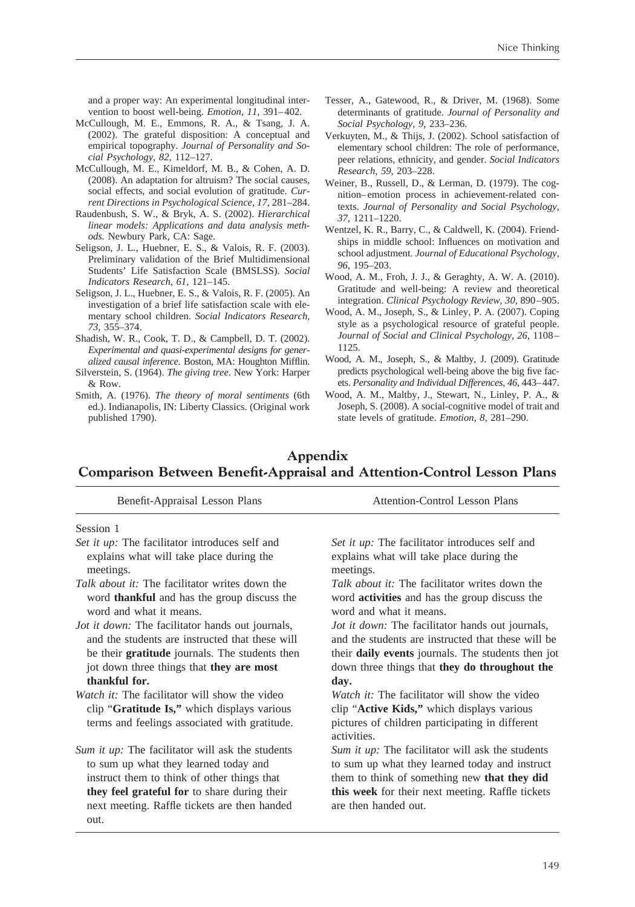and a proper way: An experimental longitudinal intervention to boost well-being. *Emotion*, *11*, 391– 402.

- McCullough, M. E., Emmons, R. A., & Tsang, J. A. (2002). The grateful disposition: A conceptual and empirical topography. *Journal of Personality and Social Psychology, 82*, 112–127.
- McCullough, M. E., Kimeldorf, M. B., & Cohen, A. D. (2008). An adaptation for altruism? The social causes, social effects, and social evolution of gratitude. *Current Directions in Psychological Science, 17*, 281–284.
- Raudenbush, S. W., & Bryk, A. S. (2002). *Hierarchical linear models: Applications and data analysis methods.* Newbury Park, CA: Sage.
- Seligson, J. L., Huebner, E. S., & Valois, R. F. (2003). Preliminary validation of the Brief Multidimensional Students' Life Satisfaction Scale (BMSLSS). *Social Indicators Research*, *61*, 121–145.
- Seligson, J. L., Huebner, E. S., & Valois, R. F. (2005). An investigation of a brief life satisfaction scale with elementary school children. *Social Indicators Research*, *73*, 355–374.
- Shadish, W. R., Cook, T. D., & Campbell, D. T. (2002). *Experimental and quasi-experimental designs for generalized causal inference.* Boston, MA: Houghton Mifflin.
- Silverstein, S. (1964). *The giving tree.* New York: Harper  $&$  Row.
- Smith, A. (1976). *The theory of moral sentiments* (6th ed.). Indianapolis, IN: Liberty Classics. (Original work published 1790).

to sum up what they learned today and instruct them to think of other things that **they feel grateful for** to share during their next meeting. Raffle tickets are then handed

out.

- Tesser, A., Gatewood, R., & Driver, M. (1968). Some determinants of gratitude. *Journal of Personality and Social Psychology*, *9*, 233–236.
- Verkuyten, M., & Thijs, J. (2002). School satisfaction of elementary school children: The role of performance, peer relations, ethnicity, and gender. *Social Indicators Research*, *59*, 203–228.
- Weiner, B., Russell, D., & Lerman, D. (1979). The cognition– emotion process in achievement-related contexts. *Journal of Personality and Social Psychology*, *37*, 1211–1220.
- Wentzel, K. R., Barry, C., & Caldwell, K. (2004). Friendships in middle school: Influences on motivation and school adjustment. *Journal of Educational Psychology*, *96*, 195–203.
- Wood, A. M., Froh, J. J., & Geraghty, A. W. A. (2010). Gratitude and well-being: A review and theoretical integration. *Clinical Psychology Review*, *30*, 890 –905.
- Wood, A. M., Joseph, S., & Linley, P. A. (2007). Coping style as a psychological resource of grateful people. *Journal of Social and Clinical Psychology, 26*, 1108 – 1125.
- Wood, A. M., Joseph, S., & Maltby, J. (2009). Gratitude predicts psychological well-being above the big five facets. *Personality and Individual Differences, 46*, 443– 447.
- Wood, A. M., Maltby, J., Stewart, N., Linley, P. A., & Joseph, S. (2008). A social-cognitive model of trait and state levels of gratitude. *Emotion, 8*, 281–290.

# **Appendix Comparison Between Benefit-Appraisal and Attention-Control Lesson Plans**

| Benefit-Appraisal Lesson Plans                                                                                                                                                                                                   | <b>Attention-Control Lesson Plans</b>                                                                                                                                                                                               |
|----------------------------------------------------------------------------------------------------------------------------------------------------------------------------------------------------------------------------------|-------------------------------------------------------------------------------------------------------------------------------------------------------------------------------------------------------------------------------------|
| Session 1                                                                                                                                                                                                                        |                                                                                                                                                                                                                                     |
| Set it up: The facilitator introduces self and<br>explains what will take place during the<br>meetings.                                                                                                                          | Set it up: The facilitator introduces self and<br>explains what will take place during the<br>meetings.                                                                                                                             |
| <i>Talk about it:</i> The facilitator writes down the<br>word <b>thankful</b> and has the group discuss the<br>word and what it means.                                                                                           | <i>Talk about it:</i> The facilitator writes down the<br>word <b>activities</b> and has the group discuss the<br>word and what it means.                                                                                            |
| <i>Jot it down:</i> The facilitator hands out journals,<br>and the students are instructed that these will<br>be their <b>gratitude</b> journals. The students then<br>jot down three things that they are most<br>thankful for. | <i>Jot it down:</i> The facilitator hands out journals,<br>and the students are instructed that these will be<br>their <b>daily events</b> journals. The students then jot<br>down three things that they do throughout the<br>day. |
| <i>Watch it:</i> The facilitator will show the video<br>clip "Gratitude Is," which displays various<br>terms and feelings associated with gratitude.                                                                             | <i>Watch it:</i> The facilitator will show the video<br>clip "Active Kids," which displays various<br>pictures of children participating in different<br>activities.                                                                |
| Sum it up: The facilitator will ask the students                                                                                                                                                                                 | <i>Sum it up:</i> The facilitator will ask the students                                                                                                                                                                             |

*Sum it up:* The facilitator will ask the students to sum up what they learned today and instruct them to think of something new **that they did this week** for their next meeting. Raffle tickets are then handed out.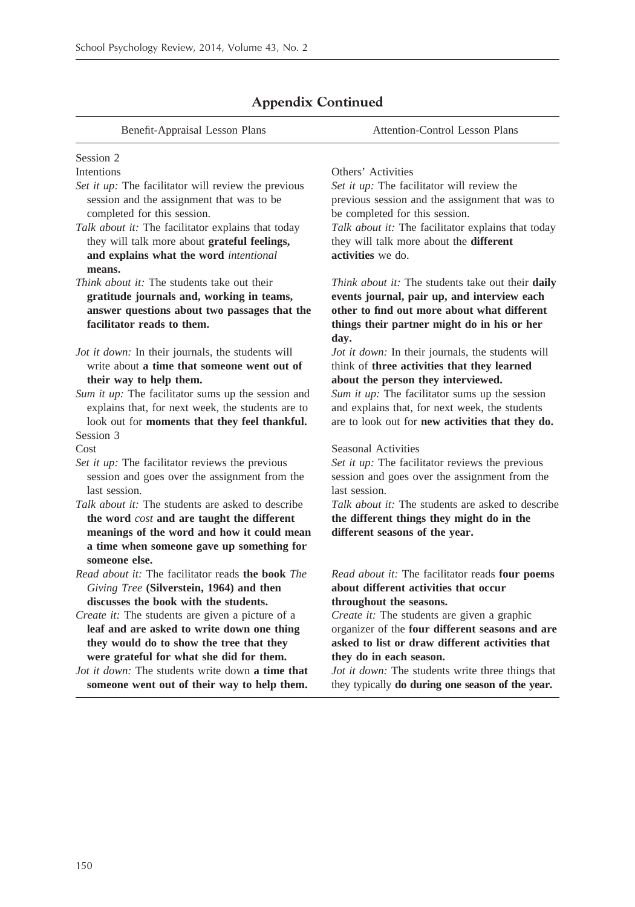| Benefit-Appraisal Lesson Plans                                                                                                                                                | <b>Attention-Control Lesson Plans</b>                                                                                                                                                                  |
|-------------------------------------------------------------------------------------------------------------------------------------------------------------------------------|--------------------------------------------------------------------------------------------------------------------------------------------------------------------------------------------------------|
| Session 2                                                                                                                                                                     |                                                                                                                                                                                                        |
| Intentions                                                                                                                                                                    | Others' Activities                                                                                                                                                                                     |
| Set it up: The facilitator will review the previous                                                                                                                           | Set it up: The facilitator will review the                                                                                                                                                             |
| session and the assignment that was to be<br>completed for this session.                                                                                                      | previous session and the assignment that was to<br>be completed for this session.                                                                                                                      |
| Talk about it: The facilitator explains that today                                                                                                                            | Talk about it: The facilitator explains that today                                                                                                                                                     |
| they will talk more about grateful feelings,                                                                                                                                  | they will talk more about the <b>different</b>                                                                                                                                                         |
| and explains what the word intentional                                                                                                                                        | activities we do.                                                                                                                                                                                      |
| means.                                                                                                                                                                        |                                                                                                                                                                                                        |
| <i>Think about it:</i> The students take out their<br>gratitude journals and, working in teams,<br>answer questions about two passages that the<br>facilitator reads to them. | Think about it: The students take out their daily<br>events journal, pair up, and interview each<br>other to find out more about what different<br>things their partner might do in his or her<br>day. |
| Jot it down: In their journals, the students will                                                                                                                             | Jot it down: In their journals, the students will                                                                                                                                                      |
| write about a time that someone went out of                                                                                                                                   | think of three activities that they learned                                                                                                                                                            |
| their way to help them.                                                                                                                                                       | about the person they interviewed.                                                                                                                                                                     |
| Sum it up: The facilitator sums up the session and                                                                                                                            | Sum it up: The facilitator sums up the session                                                                                                                                                         |
| explains that, for next week, the students are to                                                                                                                             | and explains that, for next week, the students                                                                                                                                                         |
| look out for moments that they feel thankful.                                                                                                                                 | are to look out for new activities that they do.                                                                                                                                                       |
| Session 3                                                                                                                                                                     |                                                                                                                                                                                                        |
| Cost                                                                                                                                                                          | Seasonal Activities                                                                                                                                                                                    |
| Set it up: The facilitator reviews the previous<br>session and goes over the assignment from the<br>last session.                                                             | Set it up: The facilitator reviews the previous<br>session and goes over the assignment from the<br>last session.                                                                                      |
| <i>Talk about it:</i> The students are asked to describe                                                                                                                      | <i>Talk about it:</i> The students are asked to describe                                                                                                                                               |
| the word cost and are taught the different                                                                                                                                    | the different things they might do in the                                                                                                                                                              |
| meanings of the word and how it could mean                                                                                                                                    | different seasons of the year.                                                                                                                                                                         |
| a time when someone gave up something for                                                                                                                                     |                                                                                                                                                                                                        |
| someone else.                                                                                                                                                                 |                                                                                                                                                                                                        |
| <i>Read about it:</i> The facilitator reads <b>the book</b> <i>The</i>                                                                                                        | Read about it: The facilitator reads four poems                                                                                                                                                        |
| Giving Tree (Silverstein, 1964) and then                                                                                                                                      | about different activities that occur                                                                                                                                                                  |
| discusses the book with the students.                                                                                                                                         | throughout the seasons.                                                                                                                                                                                |
| Create it: The students are given a picture of a                                                                                                                              | Create it: The students are given a graphic                                                                                                                                                            |
| leaf and are asked to write down one thing                                                                                                                                    | organizer of the four different seasons and are                                                                                                                                                        |
| they would do to show the tree that they                                                                                                                                      | asked to list or draw different activities that                                                                                                                                                        |
| were grateful for what she did for them.                                                                                                                                      | they do in each season.                                                                                                                                                                                |
| <i>Jot it down:</i> The students write down a time that<br>someone went out of their way to help them.                                                                        | Jot it down: The students write three things that<br>they typically do during one season of the year.                                                                                                  |

# **Appendix Continued**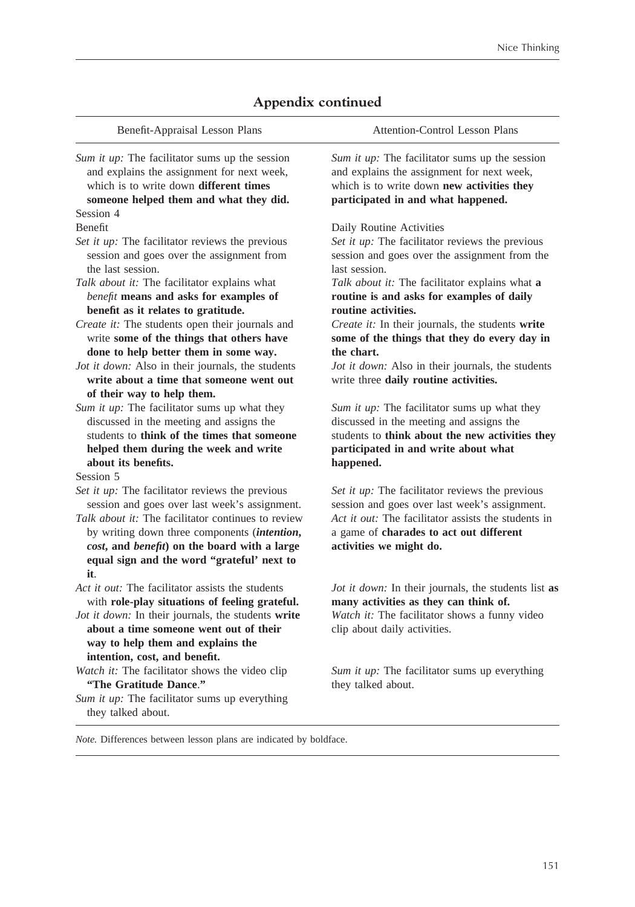| Benefit-Appraisal Lesson Plans                                                                                                                                                                                                                                                                                           | <b>Attention-Control Lesson Plans</b>                                                                                                                                                                                         |
|--------------------------------------------------------------------------------------------------------------------------------------------------------------------------------------------------------------------------------------------------------------------------------------------------------------------------|-------------------------------------------------------------------------------------------------------------------------------------------------------------------------------------------------------------------------------|
| Sum it up: The facilitator sums up the session<br>and explains the assignment for next week,<br>which is to write down different times<br>someone helped them and what they did.                                                                                                                                         | Sum it up: The facilitator sums up the session<br>and explains the assignment for next week,<br>which is to write down new activities they<br>participated in and what happened.                                              |
| Session 4                                                                                                                                                                                                                                                                                                                |                                                                                                                                                                                                                               |
| Benefit<br>Set it up: The facilitator reviews the previous<br>session and goes over the assignment from<br>the last session.                                                                                                                                                                                             | Daily Routine Activities<br>Set it up: The facilitator reviews the previous<br>session and goes over the assignment from the<br>last session.                                                                                 |
| Talk about it: The facilitator explains what<br>benefit means and asks for examples of<br>benefit as it relates to gratitude.                                                                                                                                                                                            | Talk about it: The facilitator explains what a<br>routine is and asks for examples of daily<br>routine activities.                                                                                                            |
| Create it: The students open their journals and<br>write some of the things that others have<br>done to help better them in some way.                                                                                                                                                                                    | Create it: In their journals, the students write<br>some of the things that they do every day in<br>the chart.                                                                                                                |
| Jot it down: Also in their journals, the students<br>write about a time that someone went out<br>of their way to help them.                                                                                                                                                                                              | Jot it down: Also in their journals, the students<br>write three daily routine activities.                                                                                                                                    |
| Sum it up: The facilitator sums up what they<br>discussed in the meeting and assigns the<br>students to think of the times that someone<br>helped them during the week and write                                                                                                                                         | Sum it up: The facilitator sums up what they<br>discussed in the meeting and assigns the<br>students to think about the new activities they<br>participated in and write about what                                           |
| about its benefits.                                                                                                                                                                                                                                                                                                      | happened.                                                                                                                                                                                                                     |
| Session 5<br>Set it up: The facilitator reviews the previous<br>session and goes over last week's assignment.<br>Talk about it: The facilitator continues to review<br>by writing down three components (intention,<br>cost, and benefit) on the board with a large<br>equal sign and the word "grateful' next to<br>it. | Set it up: The facilitator reviews the previous<br>session and goes over last week's assignment.<br>Act it out: The facilitator assists the students in<br>a game of charades to act out different<br>activities we might do. |
| Act it out: The facilitator assists the students<br>with role-play situations of feeling grateful.<br>Jot it down: In their journals, the students write<br>about a time someone went out of their<br>way to help them and explains the                                                                                  | <i>Jot it down:</i> In their journals, the students list as<br>many activities as they can think of.<br>Watch it: The facilitator shows a funny video<br>clip about daily activities.                                         |
| intention, cost, and benefit.<br>Watch it: The facilitator shows the video clip<br>"The Gratitude Dance."<br>Sum it up: The facilitator sums up everything<br>they talked about.                                                                                                                                         | Sum it up: The facilitator sums up everything<br>they talked about.                                                                                                                                                           |

# **Appendix continued**

*Note.* Differences between lesson plans are indicated by boldface.